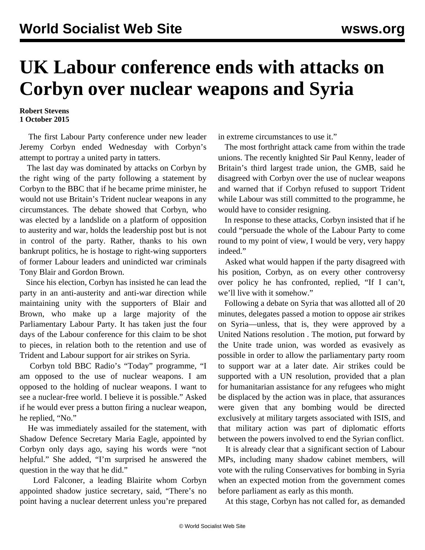## **UK Labour conference ends with attacks on Corbyn over nuclear weapons and Syria**

## **Robert Stevens 1 October 2015**

 The first Labour Party conference under new leader Jeremy Corbyn ended Wednesday with Corbyn's attempt to portray a united party in tatters.

 The last day was dominated by attacks on Corbyn by the right wing of the party following a statement by Corbyn to the BBC that if he became prime minister, he would not use Britain's Trident nuclear weapons in any circumstances. The debate showed that Corbyn, who was elected by a landslide on a platform of opposition to austerity and war, holds the leadership post but is not in control of the party. Rather, thanks to his own bankrupt politics, he is hostage to right-wing supporters of former Labour leaders and unindicted war criminals Tony Blair and Gordon Brown.

 Since his election, Corbyn has insisted he can lead the party in an anti-austerity and anti-war direction while maintaining unity with the supporters of Blair and Brown, who make up a large majority of the Parliamentary Labour Party. It has taken just the four days of the Labour conference for this claim to be shot to pieces, in relation both to the retention and use of Trident and Labour support for air strikes on Syria.

 Corbyn told BBC Radio's "Today" programme, "I am opposed to the use of nuclear weapons. I am opposed to the holding of nuclear weapons. I want to see a nuclear-free world. I believe it is possible." Asked if he would ever press a button firing a nuclear weapon, he replied, "No."

 He was immediately assailed for the statement, with Shadow Defence Secretary Maria Eagle, appointed by Corbyn only days ago, saying his words were "not helpful." She added, "I'm surprised he answered the question in the way that he did."

 Lord Falconer, a leading Blairite whom Corbyn appointed shadow justice secretary, said, "There's no point having a nuclear deterrent unless you're prepared in extreme circumstances to use it."

 The most forthright attack came from within the trade unions. The recently knighted Sir Paul Kenny, leader of Britain's third largest trade union, the GMB, said he disagreed with Corbyn over the use of nuclear weapons and warned that if Corbyn refused to support Trident while Labour was still committed to the programme, he would have to consider resigning.

 In response to these attacks, Corbyn insisted that if he could "persuade the whole of the Labour Party to come round to my point of view, I would be very, very happy indeed."

 Asked what would happen if the party disagreed with his position, Corbyn, as on every other controversy over policy he has confronted, replied, "If I can't, we'll live with it somehow."

 Following a debate on Syria that was allotted all of 20 minutes, delegates passed a motion to oppose air strikes on Syria—unless, that is, they were approved by a United Nations resolution *.* The motion, put forward by the Unite trade union, was worded as evasively as possible in order to allow the parliamentary party room to support war at a later date. Air strikes could be supported with a UN resolution, provided that a plan for humanitarian assistance for any refugees who might be displaced by the action was in place, that assurances were given that any bombing would be directed exclusively at military targets associated with ISIS, and that military action was part of diplomatic efforts between the powers involved to end the Syrian conflict.

 It is already clear that a significant section of Labour MPs, including many shadow cabinet members, will vote with the ruling Conservatives for bombing in Syria when an expected motion from the government comes before parliament as early as this month.

At this stage, Corbyn has not called for, as demanded